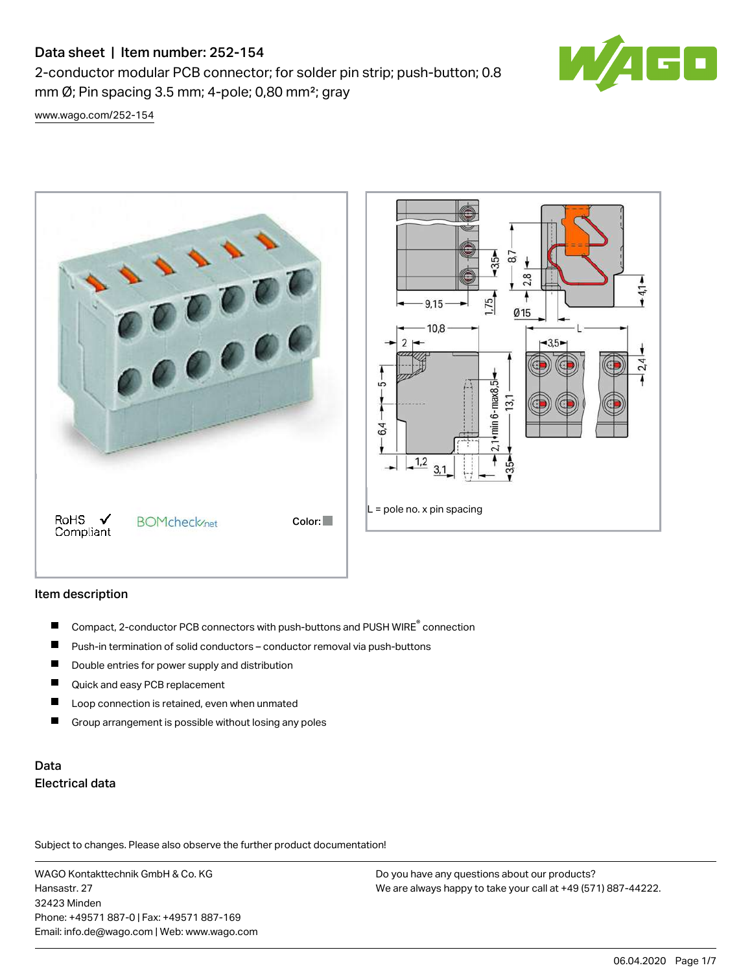# Data sheet | Item number: 252-154

2-conductor modular PCB connector; for solder pin strip; push-button; 0.8 mm  $\varnothing$ ; Pin spacing 3.5 mm; 4-pole; 0,80 mm<sup>2</sup>; gray



[www.wago.com/252-154](http://www.wago.com/252-154)



### Item description

- Compact, 2-conductor PCB connectors with push-buttons and PUSH WIRE<sup>®</sup> connection  $\blacksquare$
- Push-in termination of solid conductors conductor removal via push-buttons П
- П Double entries for power supply and distribution
- $\blacksquare$ Quick and easy PCB replacement
- $\blacksquare$ Loop connection is retained, even when unmated
- П Group arrangement is possible without losing any poles

# Data Electrical data

Subject to changes. Please also observe the further product documentation!

WAGO Kontakttechnik GmbH & Co. KG Hansastr. 27 32423 Minden Phone: +49571 887-0 | Fax: +49571 887-169 Email: info.de@wago.com | Web: www.wago.com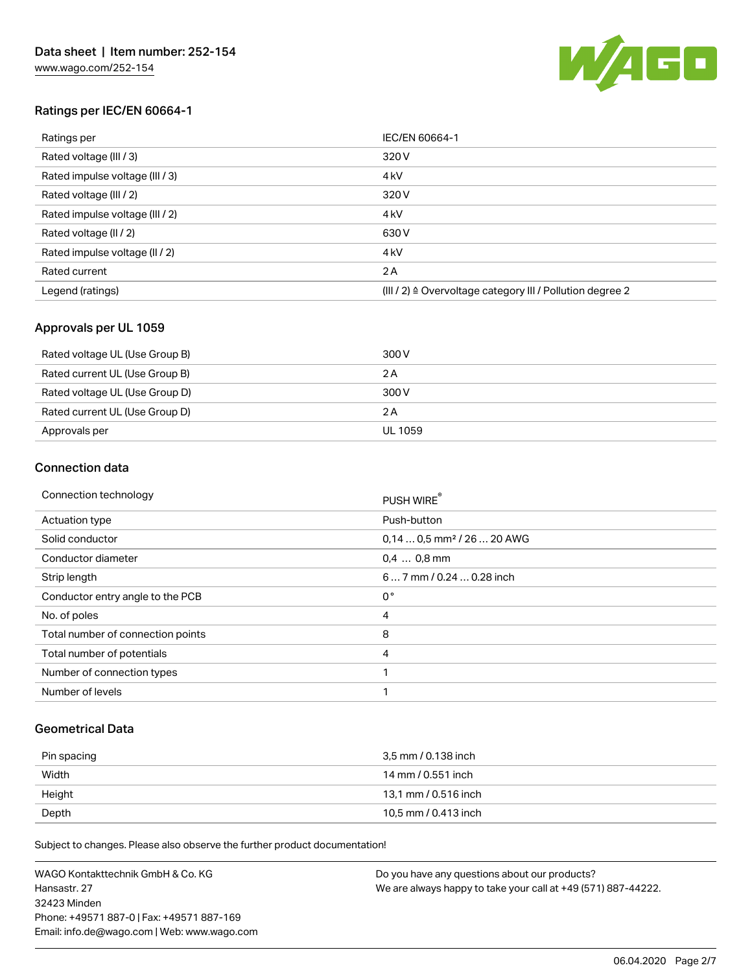

## Ratings per IEC/EN 60664-1

| Ratings per                     | IEC/EN 60664-1                                            |
|---------------------------------|-----------------------------------------------------------|
| Rated voltage (III / 3)         | 320 V                                                     |
| Rated impulse voltage (III / 3) | 4 <sub>kV</sub>                                           |
| Rated voltage (III / 2)         | 320 V                                                     |
| Rated impulse voltage (III / 2) | 4 <sub>kV</sub>                                           |
| Rated voltage (II / 2)          | 630 V                                                     |
| Rated impulse voltage (II / 2)  | 4 <sub>kV</sub>                                           |
| Rated current                   | 2 A                                                       |
| Legend (ratings)                | (III / 2) ≙ Overvoltage category III / Pollution degree 2 |

### Approvals per UL 1059

| Rated voltage UL (Use Group B) | 300 V   |
|--------------------------------|---------|
| Rated current UL (Use Group B) | 2 A     |
| Rated voltage UL (Use Group D) | 300 V   |
| Rated current UL (Use Group D) | 2 A     |
| Approvals per                  | UL 1059 |

#### Connection data

| Connection technology             | PUSH WIRE®                             |  |  |
|-----------------------------------|----------------------------------------|--|--|
| Actuation type                    | Push-button                            |  |  |
| Solid conductor                   | $0.140.5$ mm <sup>2</sup> / 26  20 AWG |  |  |
| Conductor diameter                | $0.4$ 0.8 mm                           |  |  |
| Strip length                      | 6 7 mm / 0.24  0.28 inch               |  |  |
| Conductor entry angle to the PCB  | $0^{\circ}$                            |  |  |
| No. of poles                      | 4                                      |  |  |
| Total number of connection points | 8                                      |  |  |
| Total number of potentials        | 4                                      |  |  |
| Number of connection types        |                                        |  |  |
| Number of levels                  | ٠                                      |  |  |

#### Geometrical Data

| Pin spacing | 3.5 mm / 0.138 inch  |
|-------------|----------------------|
| Width       | 14 mm / 0.551 inch   |
| Height      | 13,1 mm / 0.516 inch |
| Depth       | 10,5 mm / 0.413 inch |

Subject to changes. Please also observe the further product documentation!

WAGO Kontakttechnik GmbH & Co. KG Hansastr. 27 32423 Minden Phone: +49571 887-0 | Fax: +49571 887-169 Email: info.de@wago.com | Web: www.wago.com Do you have any questions about our products? We are always happy to take your call at +49 (571) 887-44222.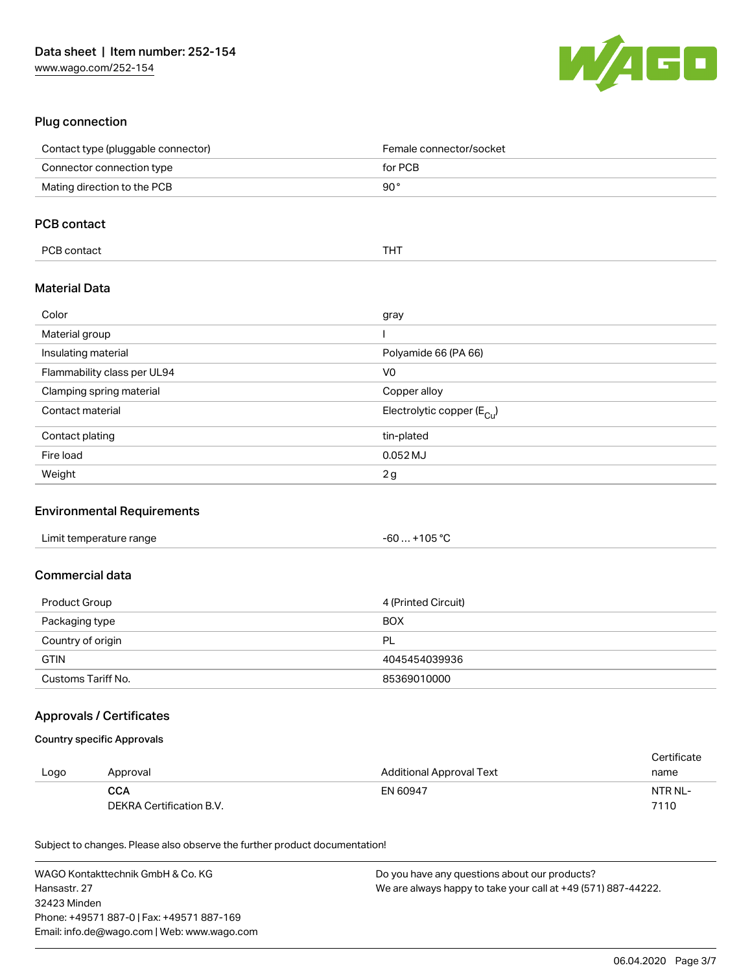

## Plug connection

| Contact type (pluggable connector) | Female connector/socket                |
|------------------------------------|----------------------------------------|
| Connector connection type          | for PCB                                |
| Mating direction to the PCB        | 90°                                    |
|                                    |                                        |
| <b>PCB contact</b>                 |                                        |
| PCB contact                        | <b>THT</b>                             |
| <b>Material Data</b>               |                                        |
| Color                              | gray                                   |
| Material group                     |                                        |
| Insulating material                | Polyamide 66 (PA 66)                   |
| Flammability class per UL94        | V <sub>0</sub>                         |
| Clamping spring material           | Copper alloy                           |
| Contact material                   | Electrolytic copper (E <sub>Cu</sub> ) |
| Contact plating                    | tin-plated                             |
| Fire load                          | 0.052 MJ                               |
| Weight                             | 2g                                     |

#### Environmental Requirements

| Limit temperature range | . +105 °C<br>-60 |
|-------------------------|------------------|
|-------------------------|------------------|

## Commercial data

| Product Group      | 4 (Printed Circuit) |
|--------------------|---------------------|
| Packaging type     | <b>BOX</b>          |
| Country of origin  | <b>PL</b>           |
| <b>GTIN</b>        | 4045454039936       |
| Customs Tariff No. | 85369010000         |

### Approvals / Certificates

#### Country specific Approvals

|      |                          |                          | Certificate |
|------|--------------------------|--------------------------|-------------|
| Logo | Approval                 | Additional Approval Text | name        |
|      | CCA                      | EN 60947                 | NTR NL-     |
|      | DEKRA Certification B.V. |                          | 7110        |

Subject to changes. Please also observe the further product documentation!

| WAGO Kontakttechnik GmbH & Co. KG           | Do you have any questions about our products?                 |
|---------------------------------------------|---------------------------------------------------------------|
| Hansastr. 27                                | We are always happy to take your call at +49 (571) 887-44222. |
| 32423 Minden                                |                                                               |
| Phone: +49571 887-0   Fax: +49571 887-169   |                                                               |
| Email: info.de@wago.com   Web: www.wago.com |                                                               |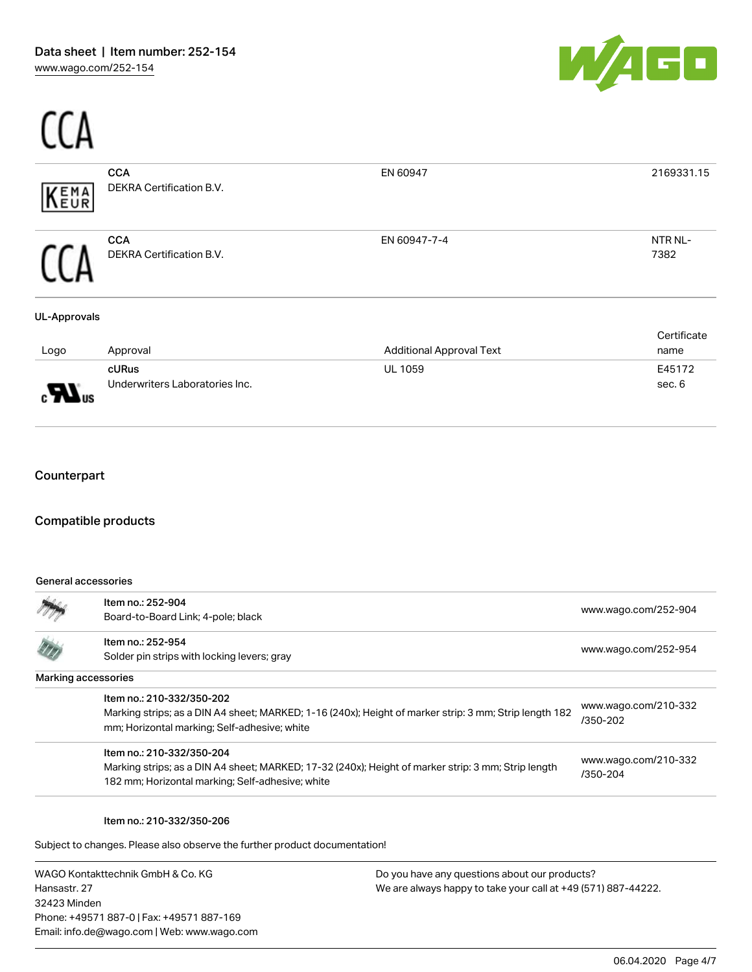

| ΈΜΑ<br><b>FUR</b>   | <b>CCA</b><br><b>DEKRA Certification B.V.</b> | EN 60947                        | 2169331.15          |
|---------------------|-----------------------------------------------|---------------------------------|---------------------|
|                     | <b>CCA</b><br>DEKRA Certification B.V.        | EN 60947-7-4                    | NTR NL-<br>7382     |
| <b>UL-Approvals</b> |                                               |                                 |                     |
| Logo                | Approval                                      | <b>Additional Approval Text</b> | Certificate<br>name |
|                     | cURus                                         | <b>UL 1059</b>                  | E45172              |
|                     | Underwriters Laboratories Inc.                |                                 | sec. 6              |

### **Counterpart**

 $C<sub>0</sub>$ 

#### Compatible products

#### General accessories

|                     | Item no.: 252-904<br>Board-to-Board Link; 4-pole; black                                                                                                                              | www.wago.com/252-904             |
|---------------------|--------------------------------------------------------------------------------------------------------------------------------------------------------------------------------------|----------------------------------|
|                     | Item no.: 252-954<br>Solder pin strips with locking levers; gray                                                                                                                     | www.wago.com/252-954             |
| Marking accessories |                                                                                                                                                                                      |                                  |
|                     | Item no.: 210-332/350-202<br>Marking strips; as a DIN A4 sheet; MARKED; 1-16 (240x); Height of marker strip: 3 mm; Strip length 182<br>mm; Horizontal marking; Self-adhesive; white  | www.wago.com/210-332<br>/350-202 |
|                     | Item no.: 210-332/350-204<br>Marking strips; as a DIN A4 sheet; MARKED; 17-32 (240x); Height of marker strip: 3 mm; Strip length<br>182 mm; Horizontal marking; Self-adhesive; white | www.wago.com/210-332<br>/350-204 |

Item no.: 210-332/350-206

Subject to changes. Please also observe the further product documentation!

WAGO Kontakttechnik GmbH & Co. KG Hansastr. 27 32423 Minden Phone: +49571 887-0 | Fax: +49571 887-169 Email: info.de@wago.com | Web: www.wago.com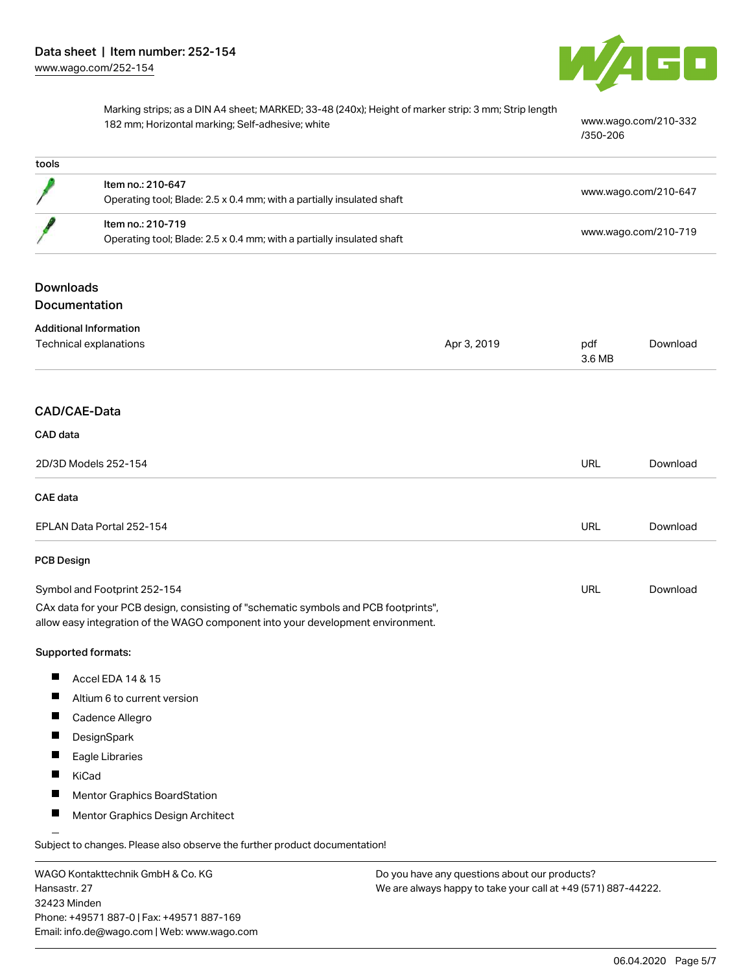

Marking strips; as a DIN A4 sheet; MARKED; 33-48 (240x); Height of marker strip: 3 mm; Strip length 182 mm; Horizontal marking; Self-adhesive; white [www.wago.com/210-332](http://www.wago.com/210-332/350-206)

[/350-206](http://www.wago.com/210-332/350-206)

| tools             |                                                                                                                                                                        |             |                      |                      |
|-------------------|------------------------------------------------------------------------------------------------------------------------------------------------------------------------|-------------|----------------------|----------------------|
|                   | Item no.: 210-647                                                                                                                                                      |             |                      | www.wago.com/210-647 |
|                   | Operating tool; Blade: 2.5 x 0.4 mm; with a partially insulated shaft                                                                                                  |             |                      |                      |
|                   | Item no.: 210-719<br>Operating tool; Blade: 2.5 x 0.4 mm; with a partially insulated shaft                                                                             |             | www.wago.com/210-719 |                      |
|                   |                                                                                                                                                                        |             |                      |                      |
| <b>Downloads</b>  |                                                                                                                                                                        |             |                      |                      |
|                   | Documentation                                                                                                                                                          |             |                      |                      |
|                   | <b>Additional Information</b>                                                                                                                                          |             |                      |                      |
|                   | Technical explanations                                                                                                                                                 | Apr 3, 2019 | pdf<br>3.6 MB        | Download             |
|                   | CAD/CAE-Data                                                                                                                                                           |             |                      |                      |
|                   |                                                                                                                                                                        |             |                      |                      |
| CAD data          |                                                                                                                                                                        |             |                      |                      |
|                   | 2D/3D Models 252-154                                                                                                                                                   |             | URL                  | Download             |
| <b>CAE</b> data   |                                                                                                                                                                        |             |                      |                      |
|                   | EPLAN Data Portal 252-154                                                                                                                                              |             | URL                  | Download             |
| <b>PCB Design</b> |                                                                                                                                                                        |             |                      |                      |
|                   | Symbol and Footprint 252-154                                                                                                                                           |             | URL                  | Download             |
|                   | CAx data for your PCB design, consisting of "schematic symbols and PCB footprints",<br>allow easy integration of the WAGO component into your development environment. |             |                      |                      |
|                   | Supported formats:                                                                                                                                                     |             |                      |                      |
|                   | Accel EDA 14 & 15                                                                                                                                                      |             |                      |                      |
| ш                 | Altium 6 to current version                                                                                                                                            |             |                      |                      |
| ш                 | Cadence Allegro                                                                                                                                                        |             |                      |                      |
|                   | DesignSpark                                                                                                                                                            |             |                      |                      |
|                   | Eagle Libraries                                                                                                                                                        |             |                      |                      |
| п                 | KiCad                                                                                                                                                                  |             |                      |                      |
|                   | <b>Mentor Graphics BoardStation</b>                                                                                                                                    |             |                      |                      |
|                   | Mentor Graphics Design Architect                                                                                                                                       |             |                      |                      |
|                   |                                                                                                                                                                        |             |                      |                      |

Subject to changes. Please also observe the further product documentation!

WAGO Kontakttechnik GmbH & Co. KG Hansastr. 27 32423 Minden Phone: +49571 887-0 | Fax: +49571 887-169 Email: info.de@wago.com | Web: www.wago.com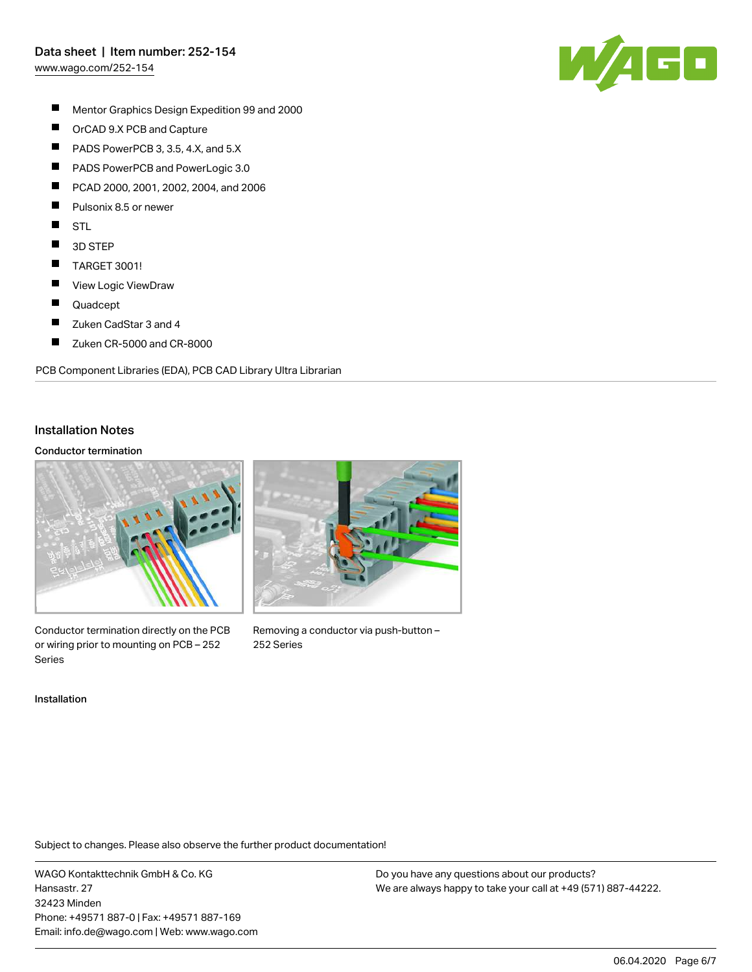## Data sheet | Item number: 252-154

[www.wago.com/252-154](http://www.wago.com/252-154)



- $\blacksquare$ Mentor Graphics Design Expedition 99 and 2000
- $\blacksquare$ OrCAD 9.X PCB and Capture
- $\blacksquare$ PADS PowerPCB 3, 3.5, 4.X, and 5.X
- $\blacksquare$ PADS PowerPCB and PowerLogic 3.0
- П PCAD 2000, 2001, 2002, 2004, and 2006
- П Pulsonix 8.5 or newer
- $\blacksquare$ STL
- $\blacksquare$ 3D STEP
- $\blacksquare$ TARGET 3001!
- П View Logic ViewDraw
- $\blacksquare$ Quadcept
- П Zuken CadStar 3 and 4
- $\blacksquare$ Zuken CR-5000 and CR-8000

PCB Component Libraries (EDA), PCB CAD Library Ultra Librarian

#### Installation Notes

#### Conductor termination



Conductor termination directly on the PCB or wiring prior to mounting on PCB – 252 Series



Removing a conductor via push-button – 252 Series

Installation

Subject to changes. Please also observe the further product documentation!

WAGO Kontakttechnik GmbH & Co. KG Hansastr. 27 32423 Minden Phone: +49571 887-0 | Fax: +49571 887-169 Email: info.de@wago.com | Web: www.wago.com